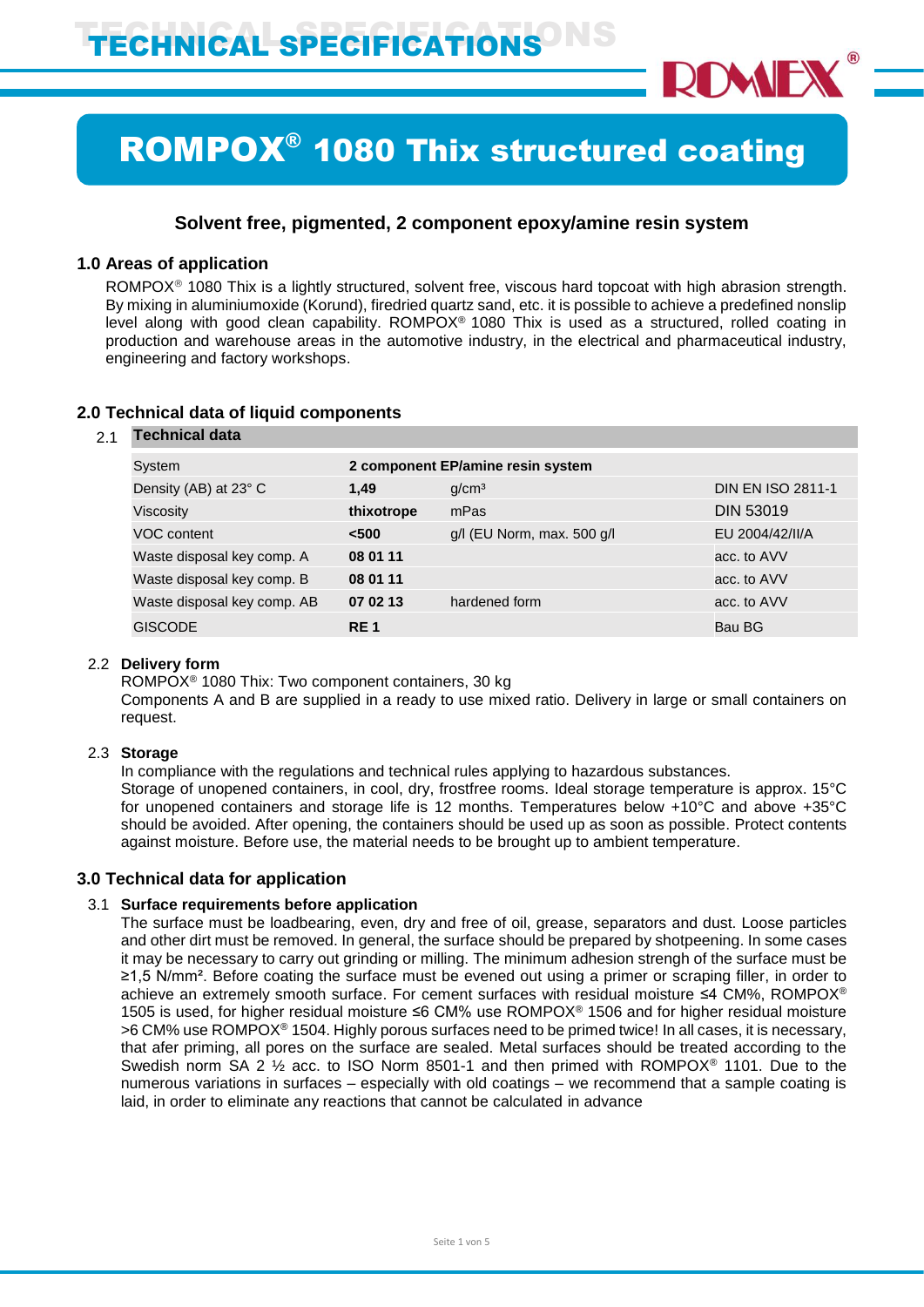

# ROMPOX® 1080 Thix structured coating

## **Solvent free, pigmented, 2 component epoxy/amine resin system**

## **1.0 Areas of application**

ROMPOX<sup>®</sup> 1080 Thix is a lightly structured, solvent free, viscous hard topcoat with high abrasion strength. By mixing in aluminiumoxide (Korund), firedried quartz sand, etc. it is possible to achieve a predefined nonslip level along with good clean capability. ROMPOX® 1080 Thix is used as a structured, rolled coating in production and warehouse areas in the automotive industry, in the electrical and pharmaceutical industry, engineering and factory workshops.

| 2.1 | <b>Technical data</b>       |                                   |                                |                          |  |
|-----|-----------------------------|-----------------------------------|--------------------------------|--------------------------|--|
|     | System                      | 2 component EP/amine resin system |                                |                          |  |
|     | Density (AB) at 23° C       | 1.49                              | q/cm <sup>3</sup>              | <b>DIN EN ISO 2811-1</b> |  |
|     | Viscosity                   | thixotrope                        | mPas                           | <b>DIN 53019</b>         |  |
|     | VOC content                 | $500$                             | $g/l$ (EU Norm, max. 500 $g/l$ | EU 2004/42/II/A          |  |
|     | Waste disposal key comp. A  | 08 01 11                          |                                | acc. to AVV              |  |
|     | Waste disposal key comp. B  | 08 01 11                          |                                | acc. to AVV              |  |
|     | Waste disposal key comp. AB | 07 02 13                          | hardened form                  | acc. to AVV              |  |
|     | <b>GISCODE</b>              | <b>RE1</b>                        |                                | Bau BG                   |  |
|     |                             |                                   |                                |                          |  |

## **2.0 Technical data of liquid components**

## 2.2 **Delivery form**

ROMPOX® 1080 Thix: Two component containers, 30 kg

Components A and B are supplied in a ready to use mixed ratio. Delivery in large or small containers on request.

## 2.3 **Storage**

In compliance with the regulations and technical rules applying to hazardous substances. Storage of unopened containers, in cool, dry, frostfree rooms. Ideal storage temperature is approx. 15°C for unopened containers and storage life is 12 months. Temperatures below +10°C and above +35°C should be avoided. After opening, the containers should be used up as soon as possible. Protect contents against moisture. Before use, the material needs to be brought up to ambient temperature.

## **3.0 Technical data for application**

## 3.1 **Surface requirements before application**

The surface must be loadbearing, even, dry and free of oil, grease, separators and dust. Loose particles and other dirt must be removed. In general, the surface should be prepared by shotpeening. In some cases it may be necessary to carry out grinding or milling. The minimum adhesion strengh of the surface must be ≥1,5 N/mm². Before coating the surface must be evened out using a primer or scraping filler, in order to achieve an extremely smooth surface. For cement surfaces with residual moisture ≤4 CM%, ROMPOX® 1505 is used, for higher residual moisture ≤6 CM% use ROMPOX® 1506 and for higher residual moisture >6 CM% use ROMPOX® 1504. Highly porous surfaces need to be primed twice! In all cases, it is necessary, that afer priming, all pores on the surface are sealed. Metal surfaces should be treated according to the Swedish norm SA 2 ½ acc. to ISO Norm 8501-1 and then primed with ROMPOX® 1101. Due to the numerous variations in surfaces – especially with old coatings – we recommend that a sample coating is laid, in order to eliminate any reactions that cannot be calculated in advance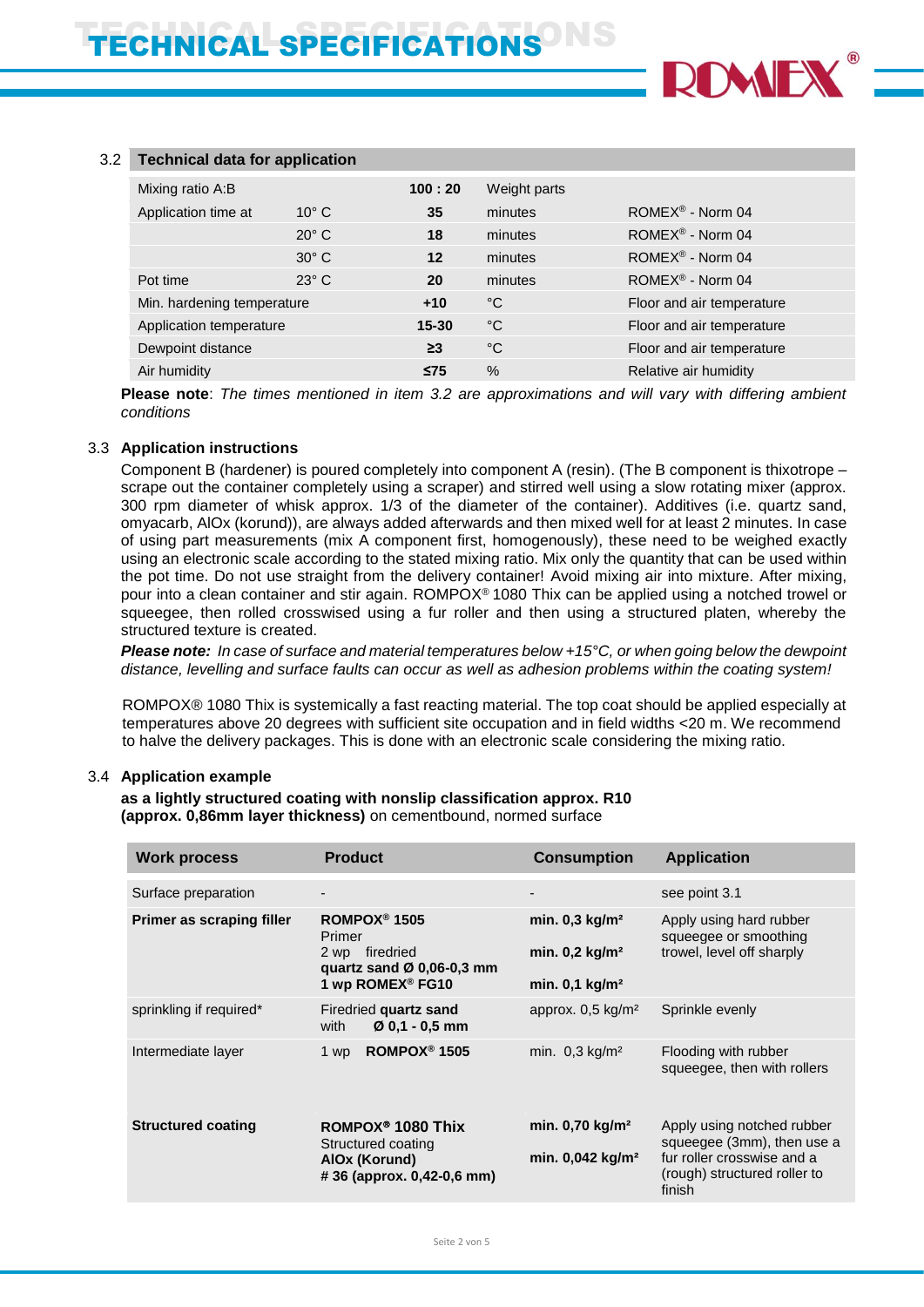

#### 3.2 **Technical data for application**

| Mixing ratio A:B           | 100:20         | Weight parts |                           |                              |
|----------------------------|----------------|--------------|---------------------------|------------------------------|
| Application time at        | $10^{\circ}$ C | 35           | minutes                   | ROMEX <sup>®</sup> - Norm 04 |
|                            | $20^\circ$ C   | 18           | minutes                   | ROMEX <sup>®</sup> - Norm 04 |
|                            | $30^\circ$ C   | 12           | minutes                   | ROMEX <sup>®</sup> - Norm 04 |
| Pot time                   | $23^\circ$ C   | 20           | minutes                   | ROMEX <sup>®</sup> - Norm 04 |
| Min. hardening temperature |                | $+10$        | °C                        | Floor and air temperature    |
| Application temperature    | $15 - 30$      | $^{\circ}$ C | Floor and air temperature |                              |
| Dewpoint distance          |                | $\geq$ 3     | $^{\circ}$ C              | Floor and air temperature    |
| Air humidity               |                | $\leq$ 75    | $\%$                      | Relative air humidity        |

**Please note**: *The times mentioned in item 3.2 are approximations and will vary with differing ambient conditions*

#### 3.3 **Application instructions**

Component B (hardener) is poured completely into component A (resin). (The B component is thixotrope – scrape out the container completely using a scraper) and stirred well using a slow rotating mixer (approx. 300 rpm diameter of whisk approx. 1/3 of the diameter of the container). Additives (i.e. quartz sand, omyacarb, AlOx (korund)), are always added afterwards and then mixed well for at least 2 minutes. In case of using part measurements (mix A component first, homogenously), these need to be weighed exactly using an electronic scale according to the stated mixing ratio. Mix only the quantity that can be used within the pot time. Do not use straight from the delivery container! Avoid mixing air into mixture. After mixing, pour into a clean container and stir again. ROMPOX® 1080 Thix can be applied using a notched trowel or squeegee, then rolled crosswised using a fur roller and then using a structured platen, whereby the structured texture is created.

*Please note: In case of surface and material temperatures below +15°C, or when going below the dewpoint distance, levelling and surface faults can occur as well as adhesion problems within the coating system!*

ROMPOX<sup>®</sup> 1080 Thix is systemically a fast reacting material. The top coat should be applied especially at temperatures above 20 degrees with sufficient site occupation and in field widths <20 m. We recommend to halve the delivery packages. This is done with an electronic scale considering the mixing ratio.

#### 3.4 **Application example**

#### **as a lightly structured coating with nonslip classification approx. R10 (approx. 0,86mm layer thickness)** on cementbound, normed surface

| <b>Work process</b>       | <b>Product</b>                                                                                                                | <b>Consumption</b>                                                                        | <b>Application</b>                                                                                                               |
|---------------------------|-------------------------------------------------------------------------------------------------------------------------------|-------------------------------------------------------------------------------------------|----------------------------------------------------------------------------------------------------------------------------------|
| Surface preparation       |                                                                                                                               |                                                                                           | see point 3.1                                                                                                                    |
| Primer as scraping filler | ROMPOX <sup>®</sup> 1505<br>Primer<br>2 wp firedried<br>quartz sand $\varnothing$ 0,06-0,3 mm<br>1 wp ROMEX <sup>®</sup> FG10 | min. $0,3$ kg/m <sup>2</sup><br>min. $0,2$ kg/m <sup>2</sup><br>min. $0.1 \text{ kg/m}^2$ | Apply using hard rubber<br>squeegee or smoothing<br>trowel, level off sharply                                                    |
| sprinkling if required*   | Firedried quartz sand<br>Ø 0,1 - 0,5 mm<br>with                                                                               | approx. $0.5 \text{ kg/m}^2$                                                              | Sprinkle evenly                                                                                                                  |
| Intermediate layer        | ROMPOX <sup>®</sup> 1505<br>1 wp                                                                                              | min. $0.3 \text{ kg/m}^2$                                                                 | Flooding with rubber<br>squeegee, then with rollers                                                                              |
| <b>Structured coating</b> | ROMPOX <sup>®</sup> 1080 Thix<br>Structured coating<br>AIOx (Korund)<br>#36 (approx. 0,42-0,6 mm)                             | min. $0,70$ kg/m <sup>2</sup><br>min. 0,042 kg/m <sup>2</sup>                             | Apply using notched rubber<br>squeegee (3mm), then use a<br>fur roller crosswise and a<br>(rough) structured roller to<br>finish |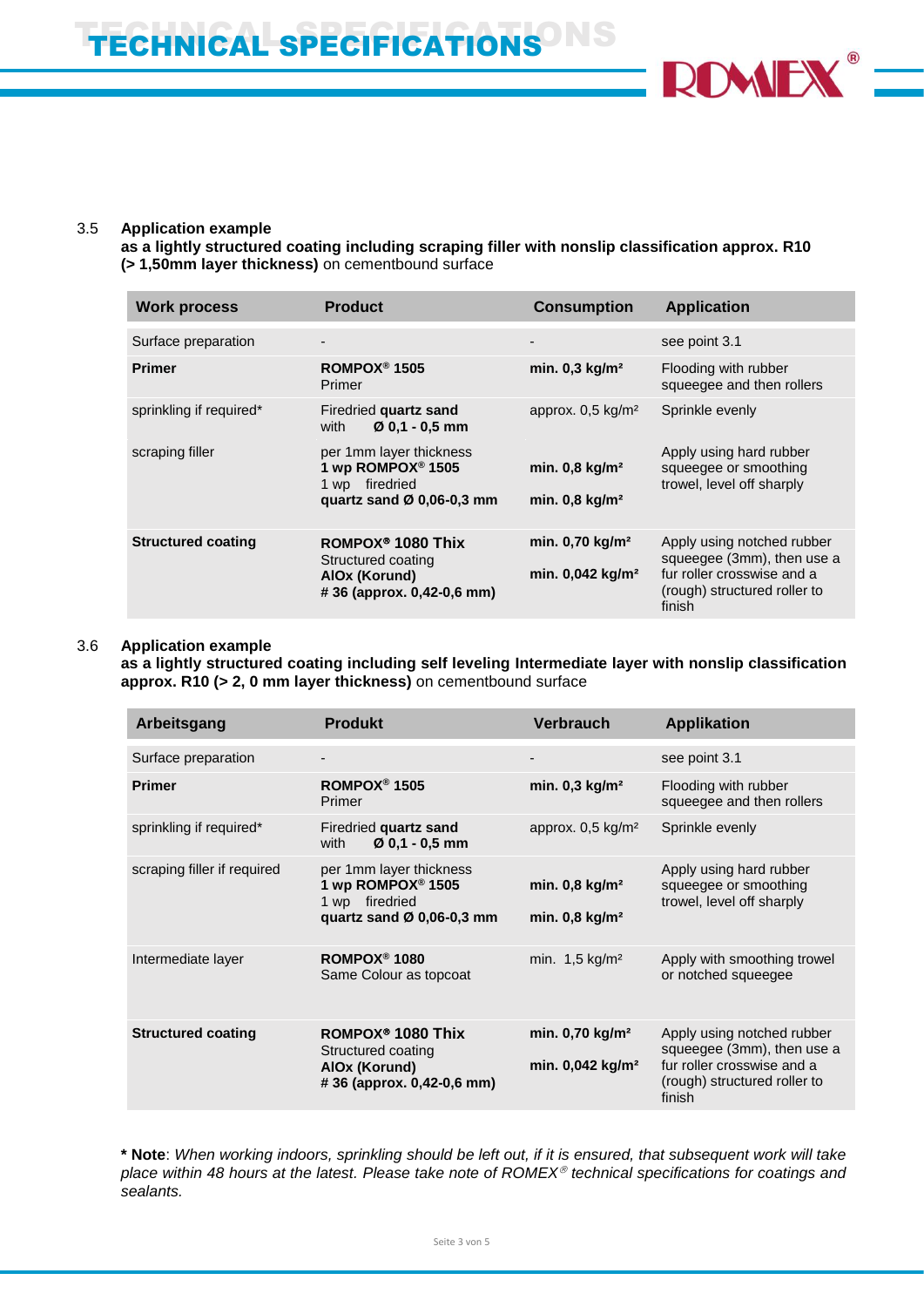

## 3.5 **Application example**

**as a lightly structured coating including scraping filler with nonslip classification approx. R10 (> 1,50mm layer thickness)** on cementbound surface

| <b>Work process</b>       | <b>Product</b>                                                                                             | <b>Consumption</b>                                            | <b>Application</b>                                                                                                               |
|---------------------------|------------------------------------------------------------------------------------------------------------|---------------------------------------------------------------|----------------------------------------------------------------------------------------------------------------------------------|
| Surface preparation       | -                                                                                                          |                                                               | see point 3.1                                                                                                                    |
| <b>Primer</b>             | ROMPOX <sup>®</sup> 1505<br>Primer                                                                         | min. $0,3$ kg/m <sup>2</sup>                                  | Flooding with rubber<br>squeegee and then rollers                                                                                |
| sprinkling if required*   | Firedried quartz sand<br>$Ø$ 0.1 - 0.5 mm<br>with                                                          | approx. $0.5 \text{ kg/m}^2$                                  | Sprinkle evenly                                                                                                                  |
| scraping filler           | per 1mm layer thickness<br>1 wp ROMPOX <sup>®</sup> 1505<br>firedried<br>1 wp<br>quartz sand Ø 0,06-0,3 mm | min. $0.8$ kg/m <sup>2</sup><br>min. $0.8$ kg/m <sup>2</sup>  | Apply using hard rubber<br>squeegee or smoothing<br>trowel, level off sharply                                                    |
| <b>Structured coating</b> | ROMPOX <sup>®</sup> 1080 Thix<br>Structured coating<br>AIOx (Korund)<br>#36 (approx. 0.42-0.6 mm)          | min. $0.70$ kg/m <sup>2</sup><br>min. 0,042 kg/m <sup>2</sup> | Apply using notched rubber<br>squeegee (3mm), then use a<br>fur roller crosswise and a<br>(rough) structured roller to<br>finish |

#### 3.6 **Application example**

**as a lightly structured coating including self leveling Intermediate layer with nonslip classification approx. R10 (> 2, 0 mm layer thickness)** on cementbound surface

| Arbeitsgang                 | <b>Produkt</b>                                                                                                         | <b>Verbrauch</b>                                             | <b>Applikation</b>                                                                                                               |
|-----------------------------|------------------------------------------------------------------------------------------------------------------------|--------------------------------------------------------------|----------------------------------------------------------------------------------------------------------------------------------|
| Surface preparation         |                                                                                                                        |                                                              | see point 3.1                                                                                                                    |
| <b>Primer</b>               | ROMPOX <sup>®</sup> 1505<br>Primer                                                                                     | min. $0,3$ kg/m <sup>2</sup>                                 | Flooding with rubber<br>squeegee and then rollers                                                                                |
| sprinkling if required*     | Firedried quartz sand<br>$Ø$ 0.1 - 0.5 mm<br>with                                                                      | approx. $0.5 \text{ kg/m}^2$                                 | Sprinkle evenly                                                                                                                  |
| scraping filler if required | per 1mm layer thickness<br>1 wp ROMPOX <sup>®</sup> 1505<br>firedried<br>1 wp<br>quartz sand $\varnothing$ 0,06-0,3 mm | min. $0,8$ kg/m <sup>2</sup><br>min. $0,8$ kg/m <sup>2</sup> | Apply using hard rubber<br>squeegee or smoothing<br>trowel, level off sharply                                                    |
| Intermediate layer          | ROMPOX <sup>®</sup> 1080<br>Same Colour as topcoat                                                                     | min. $1.5 \text{ kg/m}^2$                                    | Apply with smoothing trowel<br>or notched squeegee                                                                               |
| <b>Structured coating</b>   | ROMPOX <sup>®</sup> 1080 Thix<br>Structured coating<br>AIOx (Korund)<br>#36 (approx. 0,42-0,6 mm)                      | min. 0,70 kg/m <sup>2</sup><br>min. $0.042 \text{ kg/m}^2$   | Apply using notched rubber<br>squeegee (3mm), then use a<br>fur roller crosswise and a<br>(rough) structured roller to<br>finish |

**\* Note**: *When working indoors, sprinkling should be left out, if it is ensured, that subsequent work will take place within 48 hours at the latest. Please take note of ROMEX technical specifications for coatings and sealants.*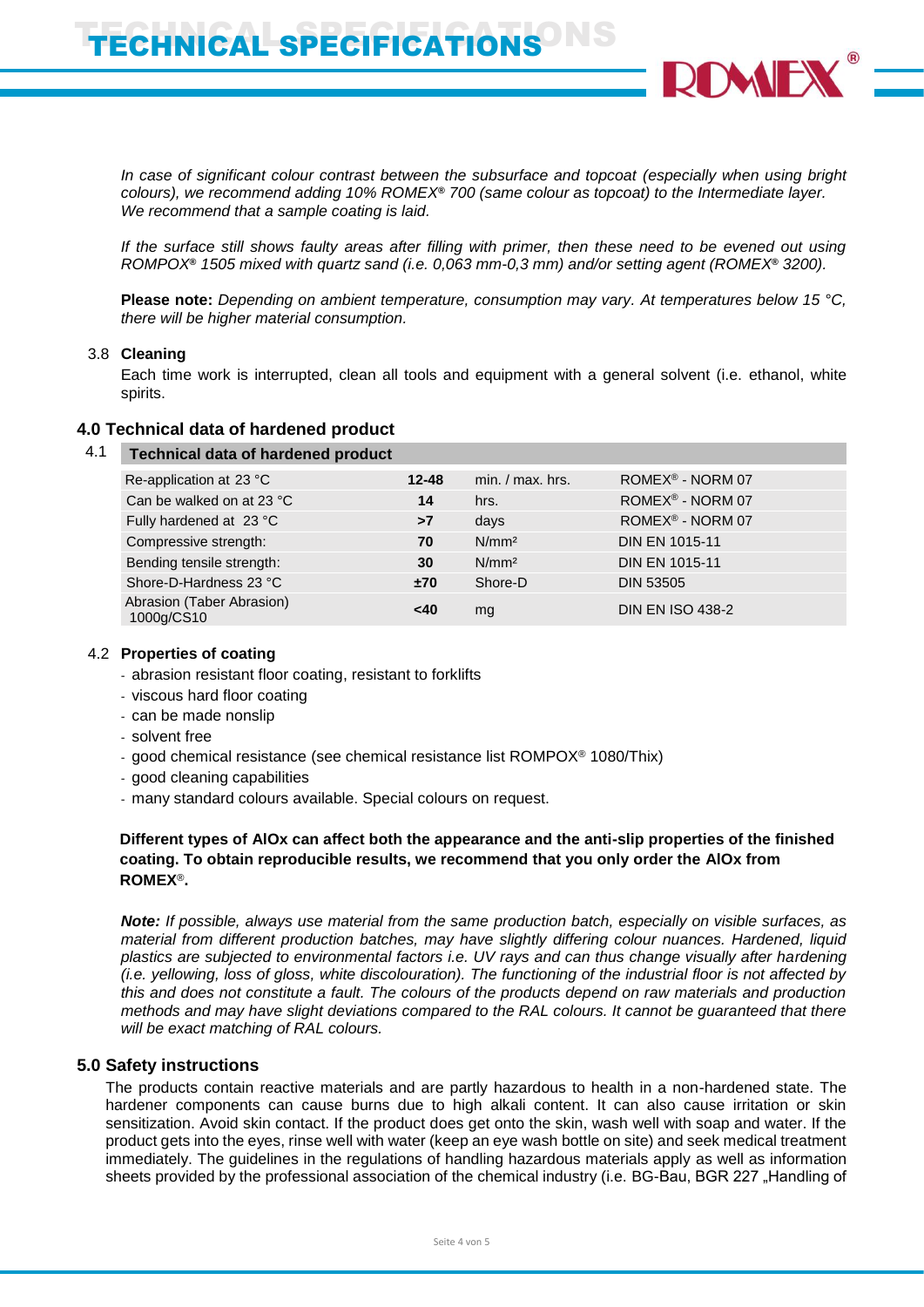*In case of significant colour contrast between the subsurface and topcoat (especially when using bright colours), we recommend adding 10% ROMEX***®** *700 (same colour as topcoat) to the Intermediate layer. We recommend that a sample coating is laid.*

*If the surface still shows faulty areas after filling with primer, then these need to be evened out using ROMPOX***®** *1505 mixed with quartz sand (i.e. 0,063 mm-0,3 mm) and/or setting agent (ROMEX***®** *3200).*

**Please note:** *Depending on ambient temperature, consumption may vary. At temperatures below 15 °C, there will be higher material consumption.*

## 3.8 **Cleaning**

Each time work is interrupted, clean all tools and equipment with a general solvent (i.e. ethanol, white spirits.

## **4.0 Technical data of hardened product**

#### 4.1 **Technical data of hardened product**

| Re-application at 23 °C                 | $12 - 48$ | $min. / max.$ hrs. | ROMEX <sup>®</sup> - NORM 07 |
|-----------------------------------------|-----------|--------------------|------------------------------|
| Can be walked on at 23 °C               | 14        | hrs.               | ROMEX <sup>®</sup> - NORM 07 |
| Fully hardened at 23 °C                 | >7        | days               | ROMEX <sup>®</sup> - NORM 07 |
| Compressive strength:                   | 70        | N/mm <sup>2</sup>  | <b>DIN EN 1015-11</b>        |
| Bending tensile strength:               | 30        | N/mm <sup>2</sup>  | <b>DIN EN 1015-11</b>        |
| Shore-D-Hardness 23 °C                  | ±70       | Shore-D            | <b>DIN 53505</b>             |
| Abrasion (Taber Abrasion)<br>1000g/CS10 | <40       | mg                 | <b>DIN EN ISO 438-2</b>      |

#### 4.2 **Properties of coating**

- abrasion resistant floor coating, resistant to forklifts
- viscous hard floor coating
- can be made nonslip
- solvent free
- good chemical resistance (see chemical resistance list ROMPOX® 1080/Thix)
- good cleaning capabilities
- many standard colours available. Special colours on request.

## **Different types of AlOx can affect both the appearance and the anti-slip properties of the finished coating. To obtain reproducible results, we recommend that you only order the AlOx from ROMEX**®**.**

*Note: If possible, always use material from the same production batch, especially on visible surfaces, as material from different production batches, may have slightly differing colour nuances. Hardened, liquid plastics are subjected to environmental factors i.e. UV rays and can thus change visually after hardening (i.e. yellowing, loss of gloss, white discolouration). The functioning of the industrial floor is not affected by this and does not constitute a fault. The colours of the products depend on raw materials and production methods and may have slight deviations compared to the RAL colours. It cannot be guaranteed that there will be exact matching of RAL colours.*

## **5.0 Safety instructions**

The products contain reactive materials and are partly hazardous to health in a non-hardened state. The hardener components can cause burns due to high alkali content. It can also cause irritation or skin sensitization. Avoid skin contact. If the product does get onto the skin, wash well with soap and water. If the product gets into the eyes, rinse well with water (keep an eye wash bottle on site) and seek medical treatment immediately. The guidelines in the regulations of handling hazardous materials apply as well as information sheets provided by the professional association of the chemical industry (i.e. BG-Bau, BGR 227 "Handling of